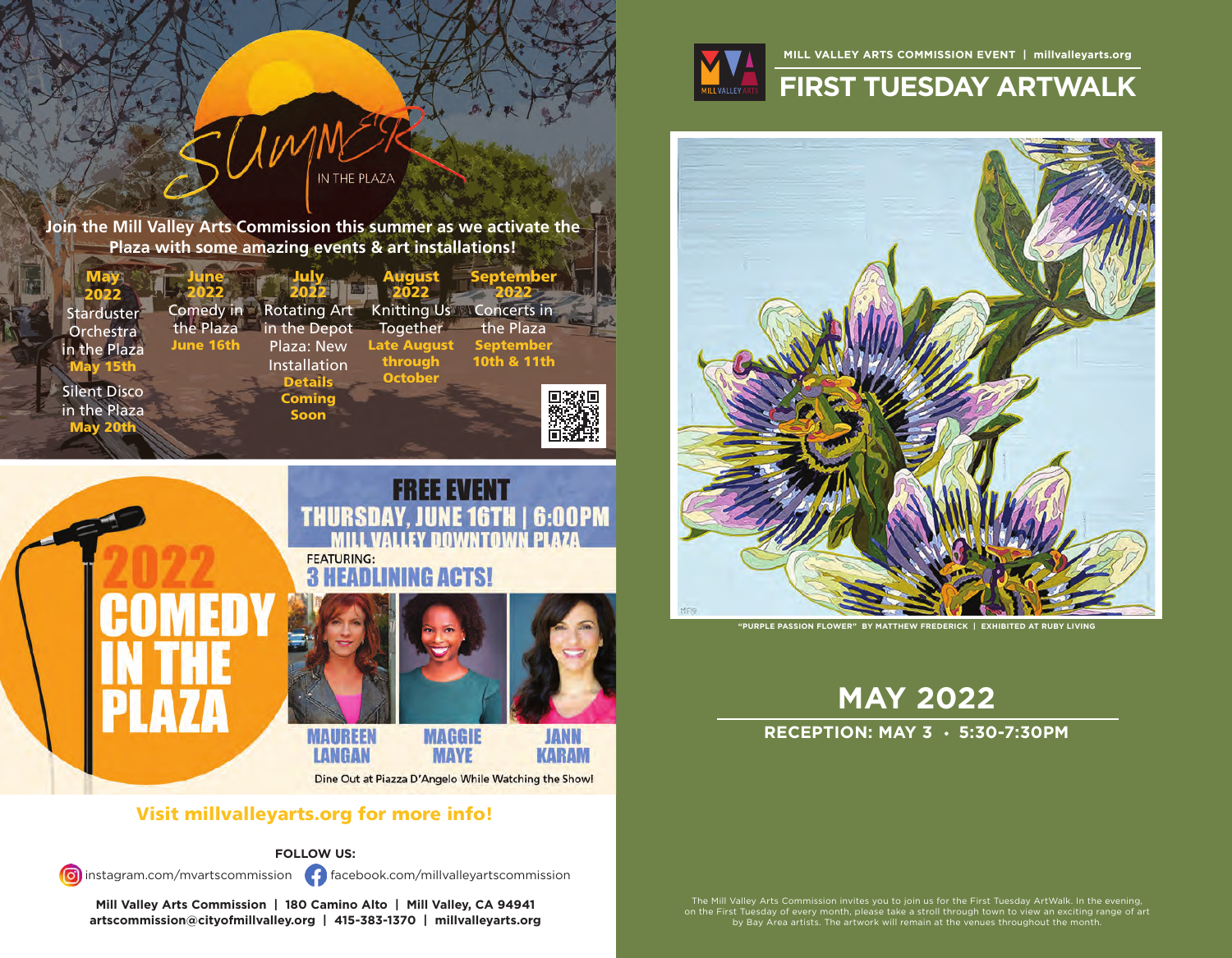

#### **MILL VALLEY ARTS COMMISSION EVENT | millvalleyarts.org**

# **FIRST TUESDAY ARTWALK**



**"PURPLE PASSION FLOWER" BY MATTHEW FREDERICK | EXHIBITED AT RUBY LIVING**

**MAY 2022**

### **RECEPTION: MAY 3 · 5:30-7:30PM**

The Mill Valley Arts Commission invites you to join us for the First Tuesday ArtWalk. In the evening,<br>on the First Tuesday of every month, please take a stroll through town to view an exciting range of art<br>by Bay Area arti

**Join the Mill Valley Arts Commission this summer as we activate the Plaza with some amazing events & art installations!**

IN THE PLAZA

 $1 W$ 





Dine Out at Piazza D'Angelo While Watching the Show!

## Visit millvalleyarts.org for more info!

**FOLLOW US:**

instagram.com/mvartscommission facebook.com/millvalleyartscommission

**Mill Valley Arts Commission | 180 Camino Alto | Mill Valley, CA 94941 artscommission@cityofmillvalley.org | 415-383-1370 | millvalleyarts.org**